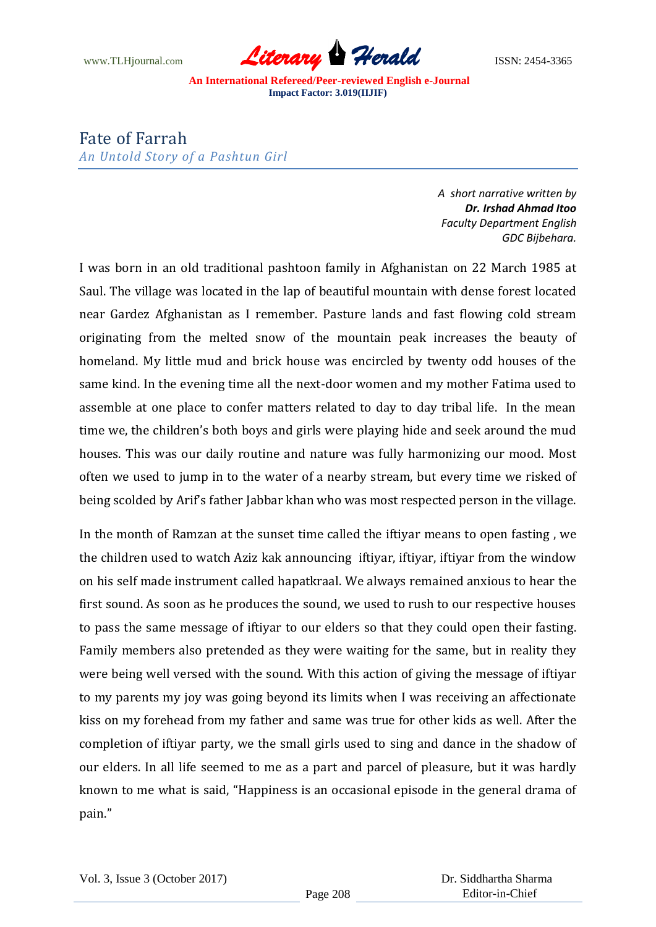www.TLHjournal.com *Literary Herald*ISSN: 2454-3365

**An International Refereed/Peer-reviewed English e-Journal Impact Factor: 3.019(IIJIF)**

Fate of Farrah

*An Untold Story of a Pashtun Girl*

*A short narrative written by Dr. Irshad Ahmad Itoo Faculty Department English GDC Bijbehara.*

I was born in an old traditional pashtoon family in Afghanistan on 22 March 1985 at Saul. The village was located in the lap of beautiful mountain with dense forest located near Gardez Afghanistan as I remember. Pasture lands and fast flowing cold stream originating from the melted snow of the mountain peak increases the beauty of homeland. My little mud and brick house was encircled by twenty odd houses of the same kind. In the evening time all the next-door women and my mother Fatima used to assemble at one place to confer matters related to day to day tribal life. In the mean time we, the children's both boys and girls were playing hide and seek around the mud houses. This was our daily routine and nature was fully harmonizing our mood. Most often we used to jump in to the water of a nearby stream, but every time we risked of being scolded by Arif's father Jabbar khan who was most respected person in the village.

In the month of Ramzan at the sunset time called the iftiyar means to open fasting , we the children used to watch Aziz kak announcing iftiyar, iftiyar, iftiyar from the window on his self made instrument called hapatkraal. We always remained anxious to hear the first sound. As soon as he produces the sound, we used to rush to our respective houses to pass the same message of iftiyar to our elders so that they could open their fasting. Family members also pretended as they were waiting for the same, but in reality they were being well versed with the sound. With this action of giving the message of iftiyar to my parents my joy was going beyond its limits when I was receiving an affectionate kiss on my forehead from my father and same was true for other kids as well. After the completion of iftiyar party, we the small girls used to sing and dance in the shadow of our elders. In all life seemed to me as a part and parcel of pleasure, but it was hardly known to me what is said, "Happiness is an occasional episode in the general drama of pain."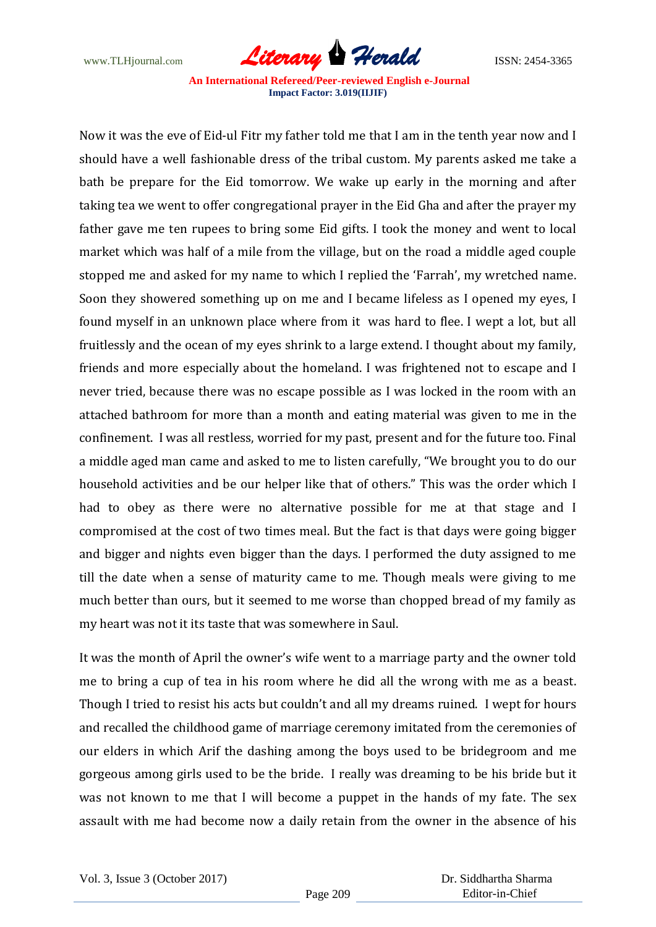www.TLHjournal.com **Literary Herald Herald** ISSN: 2454-3365

**An International Refereed/Peer-reviewed English e-Journal Impact Factor: 3.019(IIJIF)**

Now it was the eve of Eid-ul Fitr my father told me that I am in the tenth year now and I should have a well fashionable dress of the tribal custom. My parents asked me take a bath be prepare for the Eid tomorrow. We wake up early in the morning and after taking tea we went to offer congregational prayer in the Eid Gha and after the prayer my father gave me ten rupees to bring some Eid gifts. I took the money and went to local market which was half of a mile from the village, but on the road a middle aged couple stopped me and asked for my name to which I replied the 'Farrah', my wretched name. Soon they showered something up on me and I became lifeless as I opened my eyes, I found myself in an unknown place where from it was hard to flee. I wept a lot, but all fruitlessly and the ocean of my eyes shrink to a large extend. I thought about my family, friends and more especially about the homeland. I was frightened not to escape and I never tried, because there was no escape possible as I was locked in the room with an attached bathroom for more than a month and eating material was given to me in the confinement. I was all restless, worried for my past, present and for the future too. Final a middle aged man came and asked to me to listen carefully, "We brought you to do our household activities and be our helper like that of others." This was the order which I had to obey as there were no alternative possible for me at that stage and I compromised at the cost of two times meal. But the fact is that days were going bigger and bigger and nights even bigger than the days. I performed the duty assigned to me till the date when a sense of maturity came to me. Though meals were giving to me much better than ours, but it seemed to me worse than chopped bread of my family as my heart was not it its taste that was somewhere in Saul.

It was the month of April the owner's wife went to a marriage party and the owner told me to bring a cup of tea in his room where he did all the wrong with me as a beast. Though I tried to resist his acts but couldn't and all my dreams ruined. I wept for hours and recalled the childhood game of marriage ceremony imitated from the ceremonies of our elders in which Arif the dashing among the boys used to be bridegroom and me gorgeous among girls used to be the bride. I really was dreaming to be his bride but it was not known to me that I will become a puppet in the hands of my fate. The sex assault with me had become now a daily retain from the owner in the absence of his